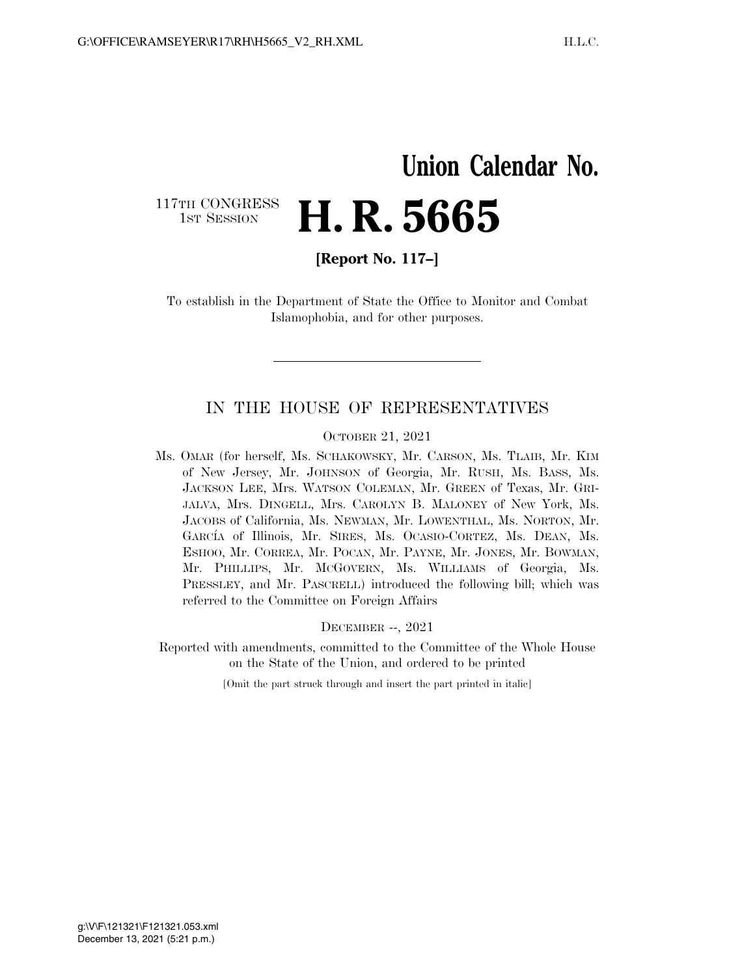# **Union Calendar No.**  117TH CONGRESS<br>1st Session 1ST SESSION **H. R. 5665**

**[Report No. 117–]** 

To establish in the Department of State the Office to Monitor and Combat Islamophobia, and for other purposes.

### IN THE HOUSE OF REPRESENTATIVES

#### OCTOBER 21, 2021

Ms. OMAR (for herself, Ms. SCHAKOWSKY, Mr. CARSON, Ms. TLAIB, Mr. KIM of New Jersey, Mr. JOHNSON of Georgia, Mr. RUSH, Ms. BASS, Ms. JACKSON LEE, Mrs. WATSON COLEMAN, Mr. GREEN of Texas, Mr. GRI-JALVA, Mrs. DINGELL, Mrs. CAROLYN B. MALONEY of New York, Ms. JACOBS of California, Ms. NEWMAN, Mr. LOWENTHAL, Ms. NORTON, Mr. GARCÍA of Illinois, Mr. SIRES, Ms. OCASIO-CORTEZ, Ms. DEAN, Ms. ESHOO, Mr. CORREA, Mr. POCAN, Mr. PAYNE, Mr. JONES, Mr. BOWMAN, Mr. PHILLIPS, Mr. MCGOVERN, Ms. WILLIAMS of Georgia, Ms. PRESSLEY, and Mr. PASCRELL) introduced the following bill; which was referred to the Committee on Foreign Affairs

DECEMBER --, 2021

Reported with amendments, committed to the Committee of the Whole House on the State of the Union, and ordered to be printed

[Omit the part struck through and insert the part printed in italic]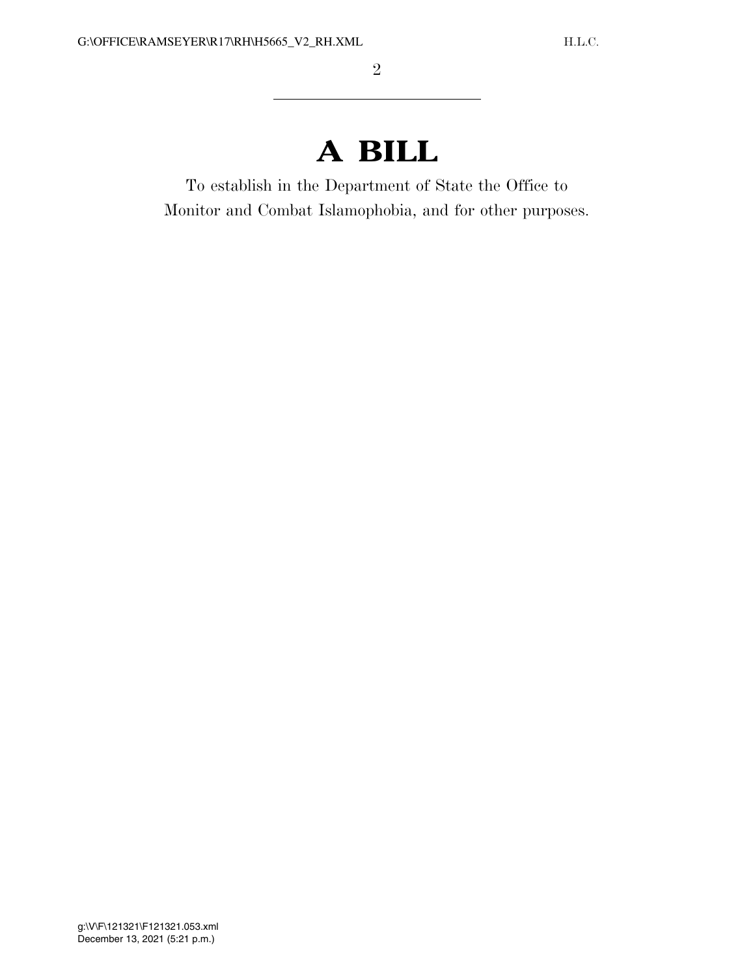# **A BILL**

To establish in the Department of State the Office to Monitor and Combat Islamophobia, and for other purposes.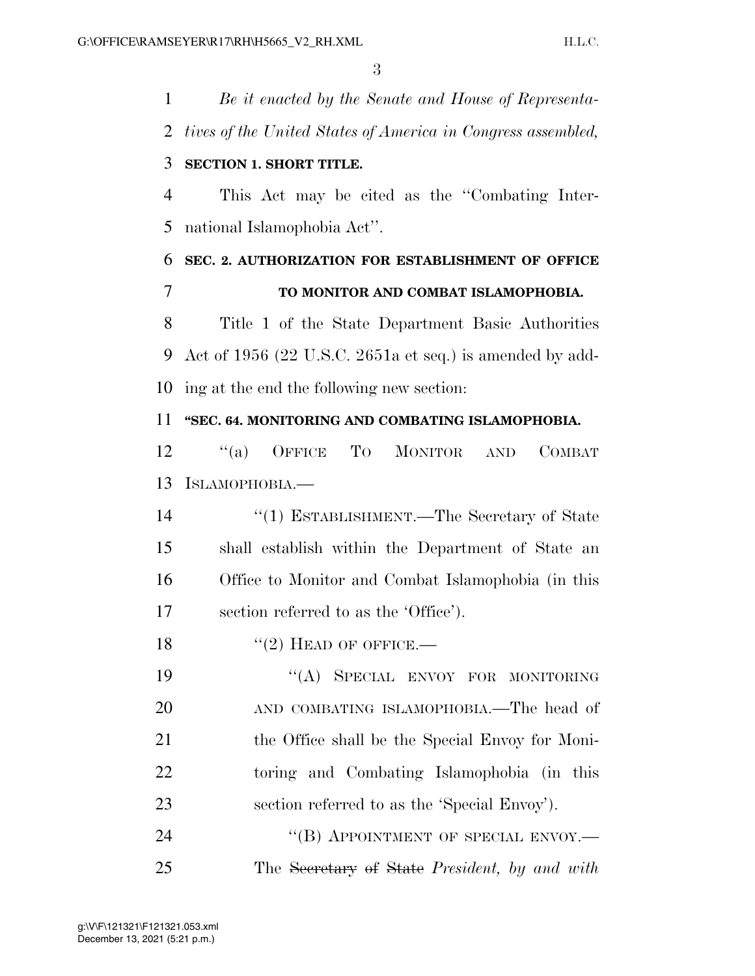*Be it enacted by the Senate and House of Representa- tives of the United States of America in Congress assembled,*  **SECTION 1. SHORT TITLE.**  This Act may be cited as the ''Combating Inter- national Islamophobia Act''. **SEC. 2. AUTHORIZATION FOR ESTABLISHMENT OF OFFICE TO MONITOR AND COMBAT ISLAMOPHOBIA.**  Title 1 of the State Department Basic Authorities Act of 1956 (22 U.S.C. 2651a et seq.) is amended by add- ing at the end the following new section: **''SEC. 64. MONITORING AND COMBATING ISLAMOPHOBIA.**  12 "(a) OFFICE TO MONITOR AND COMBAT ISLAMOPHOBIA.— ''(1) ESTABLISHMENT.—The Secretary of State shall establish within the Department of State an Office to Monitor and Combat Islamophobia (in this section referred to as the 'Office').  $"(2)$  HEAD OF OFFICE.— 19 "(A) SPECIAL ENVOY FOR MONITORING 20 AND COMBATING ISLAMOPHOBIA.—The head of 21 the Office shall be the Special Envoy for Moni- toring and Combating Islamophobia (in this section referred to as the 'Special Envoy'). 24 "(B) APPOINTMENT OF SPECIAL ENVOY.— The Secretary of State *President, by and with*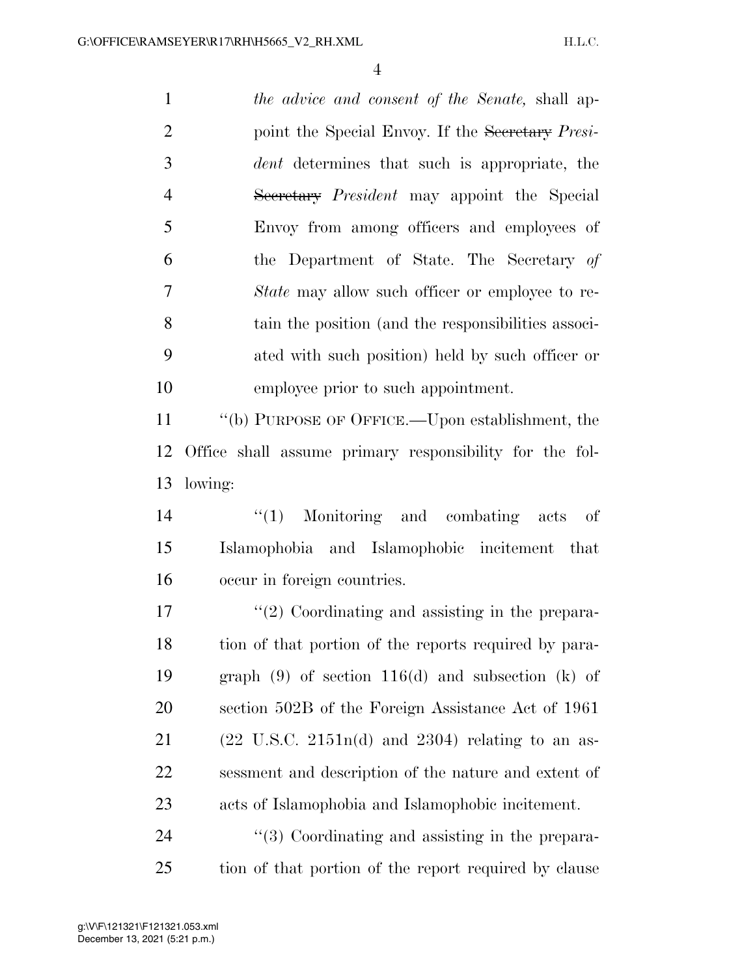*the advice and consent of the Senate,* shall ap- point the Special Envoy. If the Secretary *Presi- dent* determines that such is appropriate, the Secretary *President* may appoint the Special Envoy from among officers and employees of the Department of State. The Secretary *of State* may allow such officer or employee to re- tain the position (and the responsibilities associ- ated with such position) held by such officer or employee prior to such appointment. ''(b) PURPOSE OF OFFICE.—Upon establishment, the Office shall assume primary responsibility for the fol- lowing: ''(1) Monitoring and combating acts of Islamophobia and Islamophobic incitement that occur in foreign countries.

17 ''(2) Coordinating and assisting in the prepara-18 tion of that portion of the reports required by para- graph (9) of section 116(d) and subsection (k) of section 502B of the Foreign Assistance Act of 1961 21 (22 U.S.C. 2151n(d) and 2304) relating to an as- sessment and description of the nature and extent of acts of Islamophobia and Islamophobic incitement.

24 ''(3) Coordinating and assisting in the prepara-tion of that portion of the report required by clause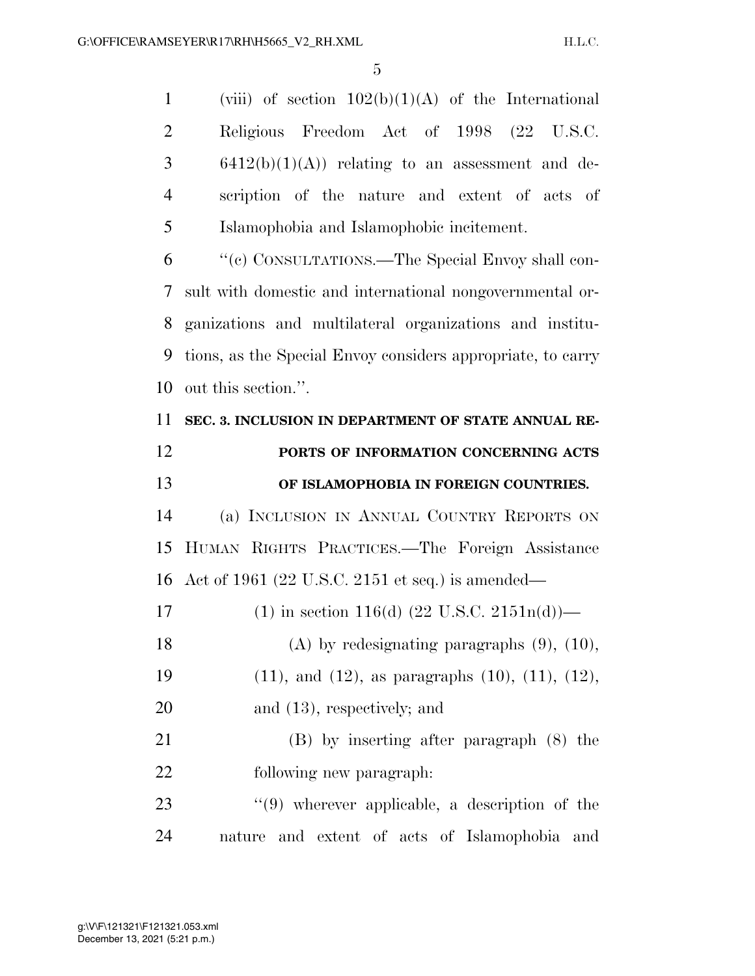1 (viii) of section  $102(b)(1)(A)$  of the International Religious Freedom Act of 1998 (22 U.S.C. 6412(b)(1)(A)) relating to an assessment and de- scription of the nature and extent of acts of Islamophobia and Islamophobic incitement. ''(c) CONSULTATIONS.—The Special Envoy shall con-

 sult with domestic and international nongovernmental or- ganizations and multilateral organizations and institu- tions, as the Special Envoy considers appropriate, to carry out this section.''.

 **SEC. 3. INCLUSION IN DEPARTMENT OF STATE ANNUAL RE- PORTS OF INFORMATION CONCERNING ACTS OF ISLAMOPHOBIA IN FOREIGN COUNTRIES.**  (a) INCLUSION IN ANNUAL COUNTRY REPORTS ON HUMAN RIGHTS PRACTICES.—The Foreign Assistance Act of 1961 (22 U.S.C. 2151 et seq.) is amended— 17 (1) in section 116(d)  $(22 \text{ U.S.C. } 2151n(d))$ — (A) by redesignating paragraphs (9), (10), (11), and (12), as paragraphs (10), (11), (12), 20 and (13), respectively; and (B) by inserting after paragraph (8) the following new paragraph: 23 ''(9) wherever applicable, a description of the nature and extent of acts of Islamophobia and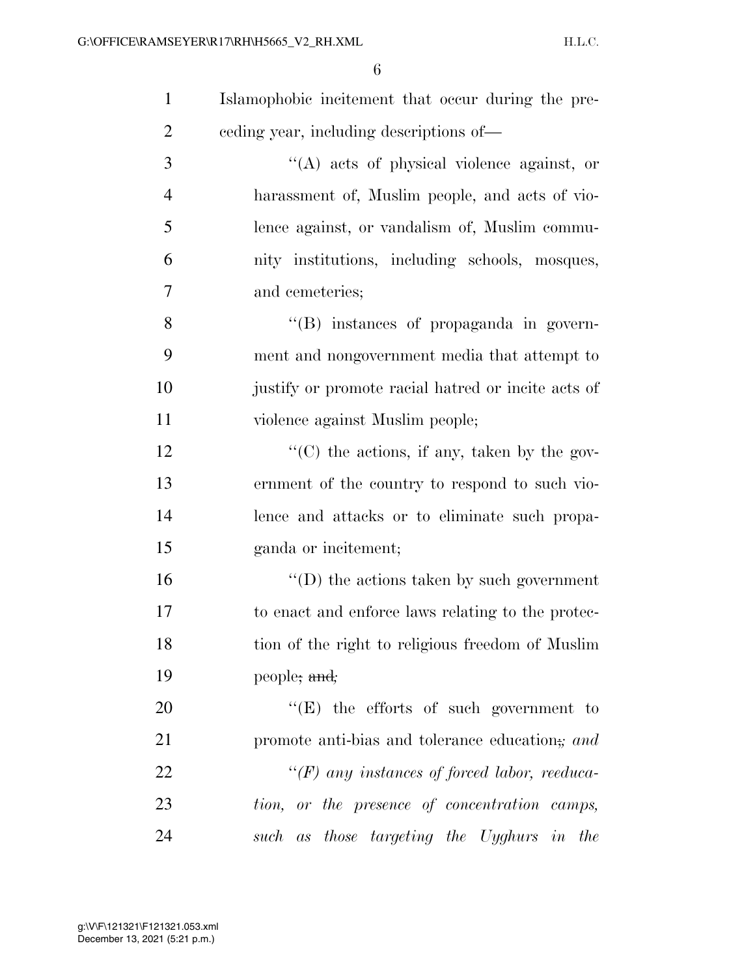| $\mathbf{1}$   | Islamophobic incitement that occur during the pre-  |
|----------------|-----------------------------------------------------|
| $\overline{2}$ | eeding year, including descriptions of—             |
| 3              | "(A) acts of physical violence against, or          |
| $\overline{4}$ | harassment of, Muslim people, and acts of vio-      |
| 5              | lence against, or vandalism of, Muslim commu-       |
| 6              | nity institutions, including schools, mosques,      |
| 7              | and cemeteries;                                     |
| 8              | $\lq\lq$ instances of propaganda in govern-         |
| 9              | ment and nongovernment media that attempt to        |
| 10             | justify or promote racial hatred or incite acts of  |
| 11             | violence against Muslim people;                     |
| 12             | "(C) the actions, if any, taken by the gov-         |
| 13             | ernment of the country to respond to such vio-      |
| 14             | lence and attacks or to eliminate such propa-       |
| 15             | ganda or incitement;                                |
| 16             | $\lq\lq$ the actions taken by such government       |
| 17             | to enact and enforce laws relating to the protec-   |
| 18             | tion of the right to religious freedom of Muslim    |
| 19             | people; and;                                        |
| 20             | $\lq\lq(E)$ the efforts of such government to       |
| 21             | promote anti-bias and tolerance education; and      |
| 22             | $\lq\lq(F)$ any instances of forced labor, reeduca- |
| 23             | tion, or the presence of concentration camps,       |
| 24             | such as those targeting the Uyghurs in the          |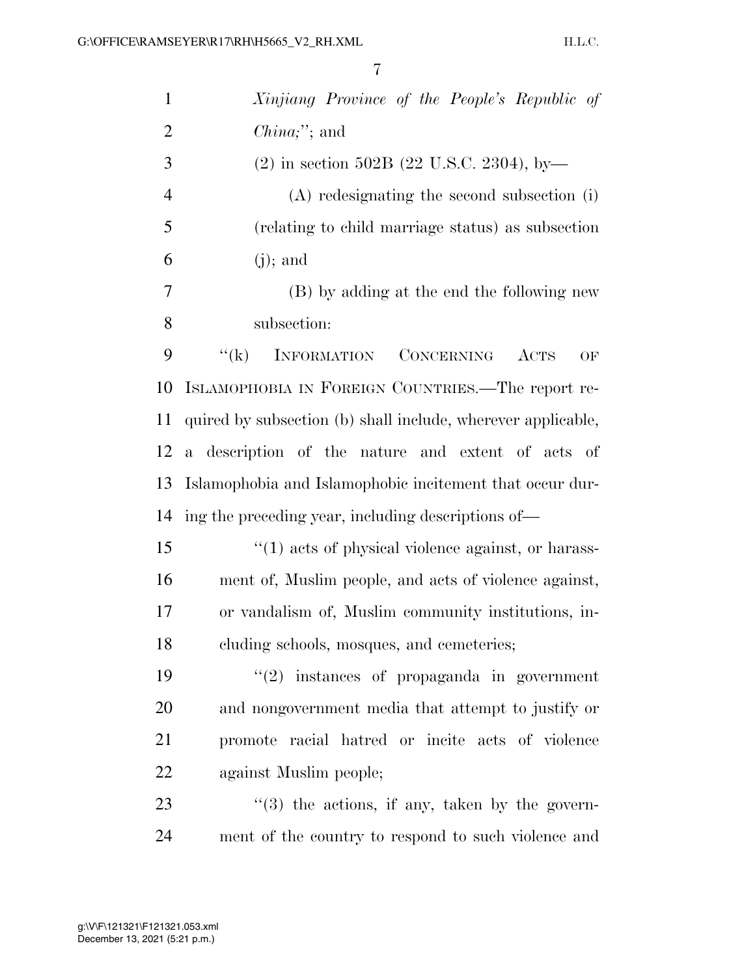| $\mathbf{1}$   | Xinjiang Province of the People's Republic of                  |
|----------------|----------------------------------------------------------------|
| $\overline{2}$ | $China;$ "; and                                                |
| 3              | $(2)$ in section 502B (22 U.S.C. 2304), by-                    |
| $\overline{4}$ | $(A)$ redesignating the second subsection (i)                  |
| 5              | (relating to child marriage status) as subsection              |
| 6              | $(j)$ ; and                                                    |
| 7              | (B) by adding at the end the following new                     |
| 8              | subsection:                                                    |
| 9              | <b>INFORMATION</b><br>``(k)<br>CONCERNING<br><b>ACTS</b><br>OF |
| 10             | ISLAMOPHOBIA IN FOREIGN COUNTRIES.—The report re-              |
| 11             | quired by subsection (b) shall include, wherever applicable,   |
| 12             | a description of the nature and extent of acts of              |
| 13             | Islamophobia and Islamophobic incitement that occur dur-       |
| 14             | ing the preceding year, including descriptions of—             |
| 15             | "(1) acts of physical violence against, or harass-             |
| 16             | ment of, Muslim people, and acts of violence against,          |
| 17             | or vandalism of, Muslim community institutions, in-            |
| 18             | cluding schools, mosques, and cemeteries;                      |
| 19             | $f'(2)$ instances of propaganda in government                  |
| 20             | and nongovernment media that attempt to justify or             |
| 21             | promote racial hatred or incite acts of violence               |
| 22             | against Muslim people;                                         |
| 23             | $\cdot\cdot$ (3) the actions, if any, taken by the govern-     |
| 24             | ment of the country to respond to such violence and            |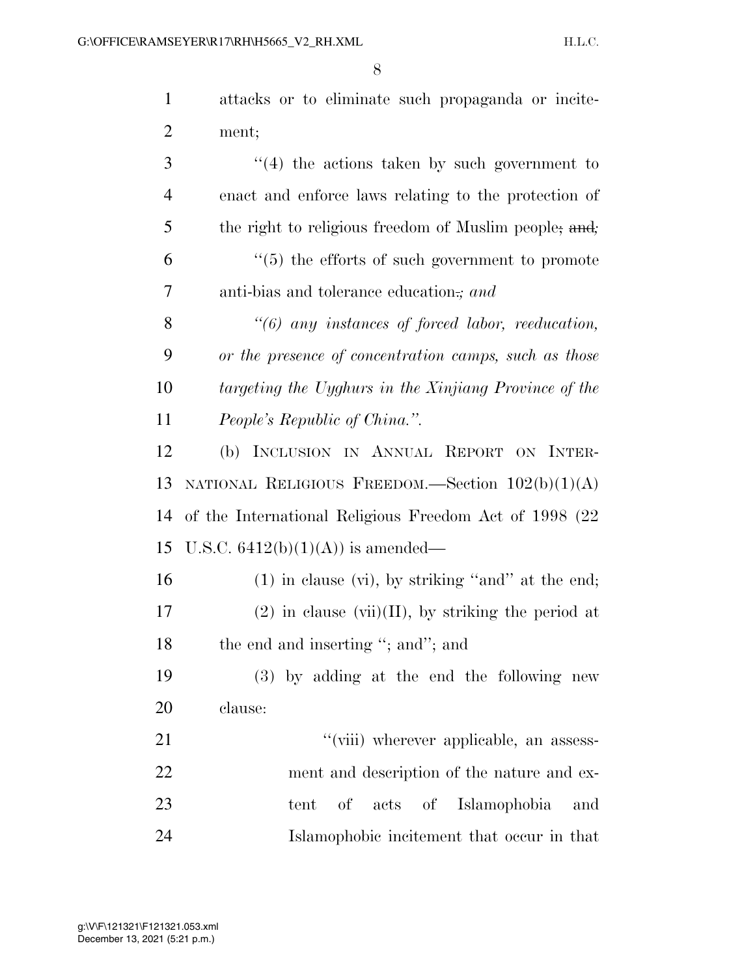|         | attacks or to eliminate such propaganda or incite-    |
|---------|-------------------------------------------------------|
| 2 ment; |                                                       |
|         | $(1/4)$ if $(1/2)$ and $(1/2)$ if $(1/2)$ and $(1/2)$ |

 ''(4) the actions taken by such government to enact and enforce laws relating to the protection of the right to religious freedom of Muslim people; and*;*  ''(5) the efforts of such government to promote anti-bias and tolerance education.*; and* 

 *''(6) any instances of forced labor, reeducation, or the presence of concentration camps, such as those targeting the Uyghurs in the Xinjiang Province of the People's Republic of China.''.* 

 (b) INCLUSION IN ANNUAL REPORT ON INTER- NATIONAL RELIGIOUS FREEDOM.—Section 102(b)(1)(A) of the International Religious Freedom Act of 1998 (22 15 U.S.C.  $6412(b)(1)(A)$  is amended—

 (1) in clause (vi), by striking ''and'' at the end; 17 (2) in clause (vii)(II), by striking the period at 18 the end and inserting "; and"; and

 (3) by adding at the end the following new clause:

 $\frac{1}{2}$  ''(viii) wherever applicable, an assess- ment and description of the nature and ex- tent of acts of Islamophobia and Islamophobic incitement that occur in that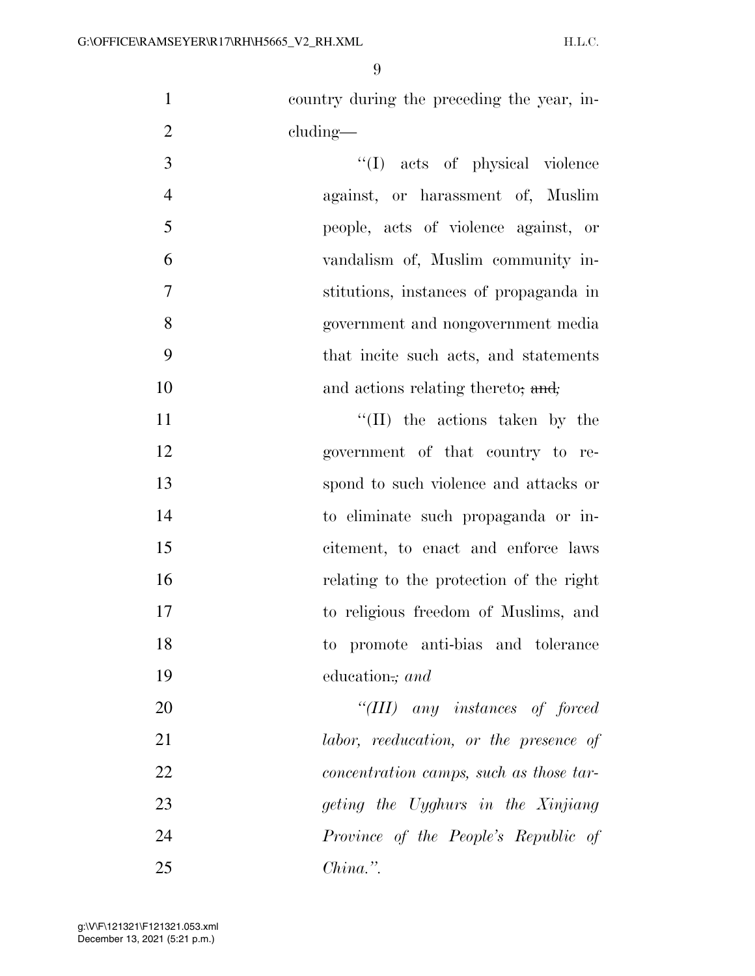country during the preceding the year, in-2 cluding—

 $\frac{1}{1}$  acts of physical violence against, or harassment of, Muslim people, acts of violence against, or vandalism of, Muslim community in- stitutions, instances of propaganda in government and nongovernment media that incite such acts, and statements and actions relating thereto; and*;* 

 $\text{``(II)}$  the actions taken by the government of that country to re- spond to such violence and attacks or to eliminate such propaganda or in- citement, to enact and enforce laws relating to the protection of the right to religious freedom of Muslims, and to promote anti-bias and tolerance education.*; and* 

 *''(III) any instances of forced labor, reeducation, or the presence of concentration camps, such as those tar- geting the Uyghurs in the Xinjiang Province of the People's Republic of China.''.*